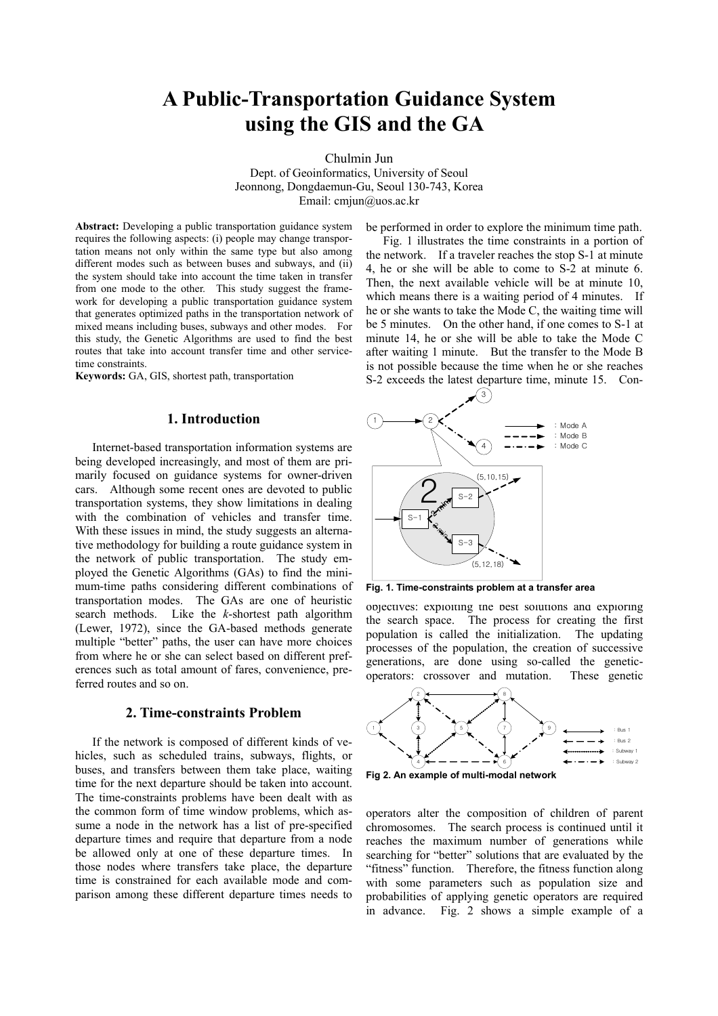# **A Public-Transportation Guidance System using the GIS and the GA**

Chulmin Jun

Dept. of Geoinformatics, University of Seoul Jeonnong, Dongdaemun-Gu, Seoul 130-743, Korea Email: cmjun@uos.ac.kr

**Abstract:** Developing a public transportation guidance system requires the following aspects: (i) people may change transportation means not only within the same type but also among different modes such as between buses and subways, and (ii) the system should take into account the time taken in transfer from one mode to the other. This study suggest the framework for developing a public transportation guidance system that generates optimized paths in the transportation network of mixed means including buses, subways and other modes. For this study, the Genetic Algorithms are used to find the best routes that take into account transfer time and other servicetime constraints.

**Keywords:** GA, GIS, shortest path, transportation

# **1. Introduction**

Internet-based transportation information systems are being developed increasingly, and most of them are primarily focused on guidance systems for owner-driven cars. Although some recent ones are devoted to public transportation systems, they show limitations in dealing with the combination of vehicles and transfer time. With these issues in mind, the study suggests an alternative methodology for building a route guidance system in the network of public transportation. The study employed the Genetic Algorithms (GAs) to find the minimum-time paths considering different combinations of transportation modes. The GAs are one of heuristic search methods. Like the *k*-shortest path algorithm (Lewer, 1972), since the GA-based methods generate multiple "better" paths, the user can have more choices from where he or she can select based on different preferences such as total amount of fares, convenience, preferred routes and so on.

# **2. Time-constraints Problem**

If the network is composed of different kinds of vehicles, such as scheduled trains, subways, flights, or buses, and transfers between them take place, waiting time for the next departure should be taken into account. The time-constraints problems have been dealt with as the common form of time window problems, which assume a node in the network has a list of pre-specified departure times and require that departure from a node be allowed only at one of these departure times. In those nodes where transfers take place, the departure time is constrained for each available mode and comparison among these different departure times needs to be performed in order to explore the minimum time path.

Fig. 1 illustrates the time constraints in a portion of the network. If a traveler reaches the stop S-1 at minute 4, he or she will be able to come to S-2 at minute 6. Then, the next available vehicle will be at minute 10, which means there is a waiting period of 4 minutes. If he or she wants to take the Mode C, the waiting time will be 5 minutes. On the other hand, if one comes to S-1 at minute 14, he or she will be able to take the Mode C after waiting 1 minute. But the transfer to the Mode B is not possible because the time when he or she reaches S-2 exceeds the latest departure time, minute 15. Con-



Fig. 1. Time-constraints problem at a transfer area

objectives: exploiting the best solutions and exploring the search space. The process for creating the first population is called the initialization. The updating processes of the population, the creation of successive generations, are done using so-called the geneticoperators: crossover and mutation. These genetic





operators alter the composition of children of parent chromosomes. The search process is continued until it reaches the maximum number of generations while searching for "better" solutions that are evaluated by the "fitness" function. Therefore, the fitness function along with some parameters such as population size and probabilities of applying genetic operators are required in advance. Fig. 2 shows a simple example of a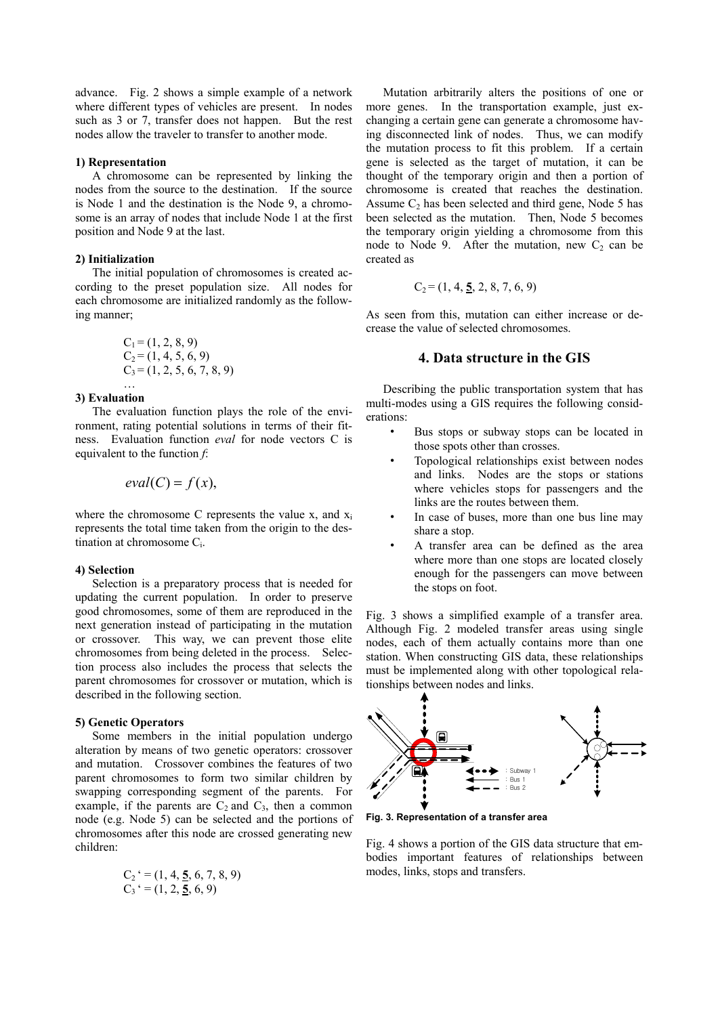advance. Fig. 2 shows a simple example of a network where different types of vehicles are present. In nodes such as 3 or 7, transfer does not happen. But the rest nodes allow the traveler to transfer to another mode.

#### **1) Representation**

A chromosome can be represented by linking the nodes from the source to the destination. If the source is Node 1 and the destination is the Node 9, a chromosome is an array of nodes that include Node 1 at the first position and Node 9 at the last.

#### **2) Initialization**

The initial population of chromosomes is created according to the preset population size. All nodes for each chromosome are initialized randomly as the following manner;

$$
C1 = (1, 2, 8, 9)
$$
  
\n
$$
C2 = (1, 4, 5, 6, 9)
$$
  
\n
$$
C3 = (1, 2, 5, 6, 7, 8, 9)
$$

## … **3) Evaluation**

The evaluation function plays the role of the environment, rating potential solutions in terms of their fitness. Evaluation function *eval* for node vectors C is equivalent to the function *f*:

$$
eval(C) = f(x),
$$

where the chromosome C represents the value  $x$ , and  $x_i$ represents the total time taken from the origin to the destination at chromosome C<sub>i</sub>.

#### **4) Selection**

Selection is a preparatory process that is needed for updating the current population. In order to preserve good chromosomes, some of them are reproduced in the next generation instead of participating in the mutation or crossover. This way, we can prevent those elite chromosomes from being deleted in the process. Selection process also includes the process that selects the parent chromosomes for crossover or mutation, which is described in the following section.

### **5) Genetic Operators**

Some members in the initial population undergo alteration by means of two genetic operators: crossover and mutation. Crossover combines the features of two parent chromosomes to form two similar children by swapping corresponding segment of the parents. For example, if the parents are  $C_2$  and  $C_3$ , then a common node (e.g. Node 5) can be selected and the portions of chromosomes after this node are crossed generating new children:

$$
C_2^{\prime} = (1, 4, \underline{5}, 6, 7, 8, 9)
$$
  

$$
C_3^{\prime} = (1, 2, \underline{5}, 6, 9)
$$

Mutation arbitrarily alters the positions of one or more genes. In the transportation example, just exchanging a certain gene can generate a chromosome having disconnected link of nodes. Thus, we can modify the mutation process to fit this problem. If a certain gene is selected as the target of mutation, it can be thought of the temporary origin and then a portion of chromosome is created that reaches the destination. Assume  $C_2$  has been selected and third gene, Node 5 has been selected as the mutation. Then, Node 5 becomes the temporary origin yielding a chromosome from this node to Node 9. After the mutation, new  $C_2$  can be created as

$$
C_2 = (1, 4, \underline{5}, 2, 8, 7, 6, 9)
$$

As seen from this, mutation can either increase or decrease the value of selected chromosomes.

# **4. Data structure in the GIS**

Describing the public transportation system that has multi-modes using a GIS requires the following considerations:

- Bus stops or subway stops can be located in those spots other than crosses.
- Topological relationships exist between nodes and links. Nodes are the stops or stations where vehicles stops for passengers and the links are the routes between them.
- In case of buses, more than one bus line may share a stop.
- A transfer area can be defined as the area where more than one stops are located closely enough for the passengers can move between the stops on foot.

Fig. 3 shows a simplified example of a transfer area. Although Fig. 2 modeled transfer areas using single nodes, each of them actually contains more than one station. When constructing GIS data, these relationships must be implemented along with other topological relationships between nodes and links.



**Fig. 3. Representation of a transfer area** 

Fig. 4 shows a portion of the GIS data structure that embodies important features of relationships between modes, links, stops and transfers.